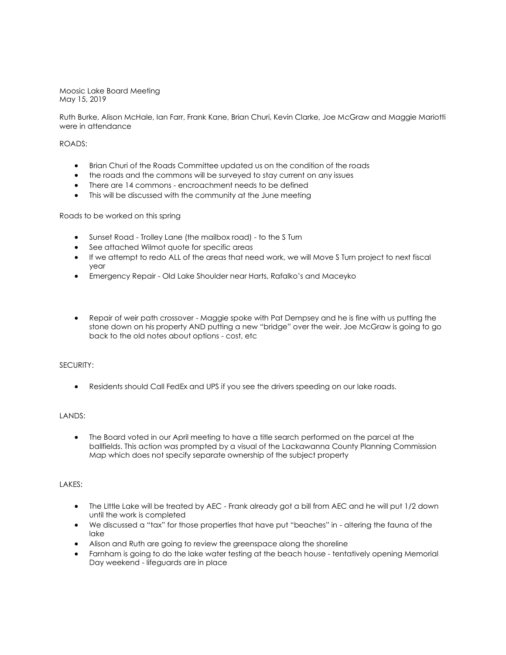Moosic Lake Board Meeting May 15, 2019

Ruth Burke, Alison McHale, Ian Farr, Frank Kane, Brian Churi, Kevin Clarke, Joe McGraw and Maggie Mariotti were in attendance

## ROADS:

- Brian Churi of the Roads Committee updated us on the condition of the roads
- the roads and the commons will be surveyed to stay current on any issues
- There are 14 commons encroachment needs to be defined
- This will be discussed with the community at the June meeting

Roads to be worked on this spring

- Sunset Road Trolley Lane (the mailbox road) to the S Turn
- See attached Wilmot quote for specific areas
- If we attempt to redo ALL of the areas that need work, we will Move S Turn project to next fiscal year
- Emergency Repair Old Lake Shoulder near Harts, Rafalko's and Maceyko
- Repair of weir path crossover Maggie spoke with Pat Dempsey and he is fine with us putting the stone down on his property AND putting a new "bridge" over the weir. Joe McGraw is going to go back to the old notes about options - cost, etc

### SECURITY:

• Residents should Call FedEx and UPS if you see the drivers speeding on our lake roads.

### LANDS:

• The Board voted in our April meeting to have a title search performed on the parcel at the ballfields. This action was prompted by a visual of the Lackawanna County Planning Commission Map which does not specify separate ownership of the subject property

### LAKES:

- The Little Lake will be treated by AEC Frank already got a bill from AEC and he will put 1/2 down until the work is completed
- We discussed a "tax" for those properties that have put "beaches" in altering the fauna of the lake
- Alison and Ruth are going to review the greenspace along the shoreline
- Farnham is going to do the lake water testing at the beach house tentatively opening Memorial Day weekend - lifeguards are in place